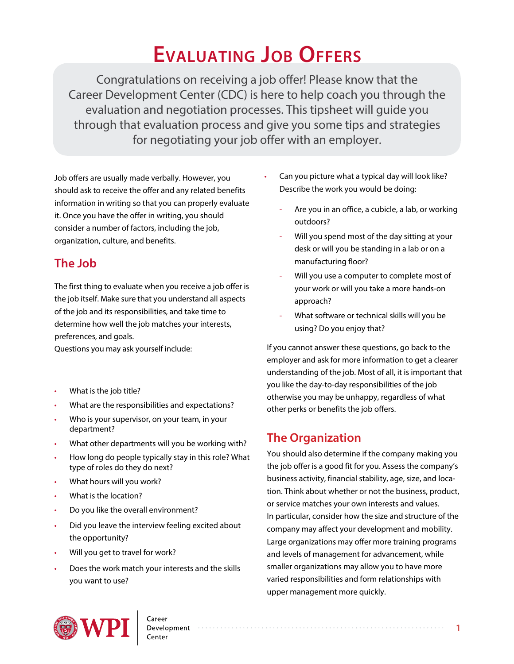# **EVALUATING Job offers**

Congratulations on receiving a job offer! Please know that the Career Development Center (CDC) is here to help coach you through the evaluation and negotiation processes. This tipsheet will guide you through that evaluation process and give you some tips and strategies for negotiating your job offer with an employer.

Job offers are usually made verbally. However, you should ask to receive the offer and any related benefits information in writing so that you can properly evaluate it. Once you have the offer in writing, you should consider a number of factors, including the job, organization, culture, and benefits.

# **The Job**

The first thing to evaluate when you receive a job offer is the job itself. Make sure that you understand all aspects of the job and its responsibilities, and take time to determine how well the job matches your interests, preferences, and goals.

Questions you may ask yourself include:

- What is the job title?
- What are the responsibilities and expectations?
- Who is your supervisor, on your team, in your department?
- What other departments will you be working with?
- How long do people typically stay in this role? What type of roles do they do next?
- What hours will you work?
- What is the location?
- Do you like the overall environment?
- Did you leave the interview feeling excited about the opportunity?
- Will you get to travel for work?
- Does the work match your interests and the skills you want to use?
- Can you picture what a typical day will look like? Describe the work you would be doing:
	- Are you in an office, a cubicle, a lab, or working outdoors?
	- Will you spend most of the day sitting at your desk or will you be standing in a lab or on a manufacturing floor?
	- Will you use a computer to complete most of your work or will you take a more hands-on approach?
	- What software or technical skills will you be using? Do you enjoy that?

If you cannot answer these questions, go back to the employer and ask for more information to get a clearer understanding of the job. Most of all, it is important that you like the day-to-day responsibilities of the job otherwise you may be unhappy, regardless of what other perks or benefits the job offers.

# **The Organization**

You should also determine if the company making you the job offer is a good fit for you. Assess the company's business activity, financial stability, age, size, and location. Think about whether or not the business, product, or service matches your own interests and values. In particular, consider how the size and structure of the company may affect your development and mobility. Large organizations may offer more training programs and levels of management for advancement, while smaller organizations may allow you to have more varied responsibilities and form relationships with upper management more quickly.



Development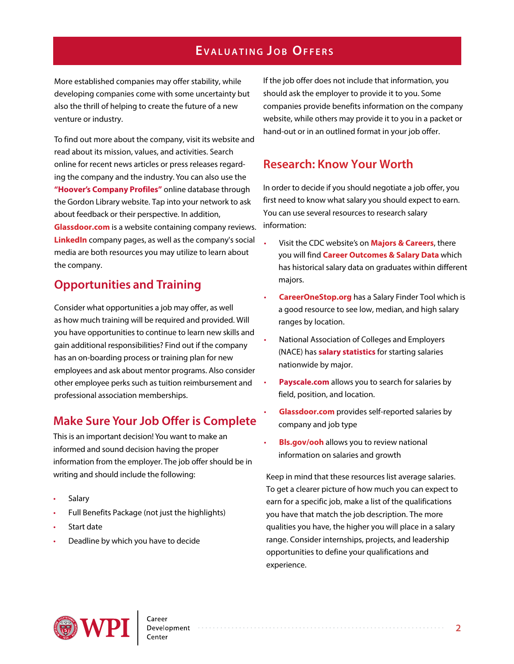#### **EVALUATING JOB OFFERS**

More established companies may offer stability, while developing companies come with some uncertainty but also the thrill of helping to create the future of a new venture or industry.

To find out more about the company, visit its website and read about its mission, values, and activities. Search online for recent news articles or press releases regarding the company and the industry. You can also use the **["Hoover's Company Pro](http://libguides.wpi.edu/company)files"** online database through the Gordon Library website. Tap into your network to ask about feedback or their perspective. In addition, **[Glassdoor.com](www.glassdoor.com)** is a website containing company reviews. **[LinkedIn](www.linkedin.com)** company pages, as well as the company's social media are both resources you may utilize to learn about the company.

#### **Opportunities and Training**

Consider what opportunities a job may offer, as well as how much training will be required and provided. Will you have opportunities to continue to learn new skills and gain additional responsibilities? Find out if the company has an on-boarding process or training plan for new employees and ask about mentor programs. Also consider other employee perks such as tuition reimbursement and professional association memberships.

#### **Make Sure Your Job Offer is Complete**

This is an important decision! You want to make an informed and sound decision having the proper information from the employer. The job offer should be in writing and should include the following:

- **Salary**
- Full Benefits Package (not just the highlights)
- Start date
- Deadline by which you have to decide

If the job offer does not include that information, you should ask the employer to provide it to you. Some companies provide benefits information on the company website, while others may provide it to you in a packet or hand-out or in an outlined format in your job offer.

#### **Research: Know Your Worth**

In order to decide if you should negotiate a job offer, you first need to know what salary you should expect to earn. You can use several resources to research salary information:

- Visit the CDC website's on **[Majors & Careers](https://www.wpi.edu/student-experience/career-development/majors)**, there you will find **[Career Outcomes & Salary Data](https://www.wpi.edu/student-experience/career-development/outcomes)** which has historical salary data on graduates within different majors.
- **[CareerOneStop.org](https://www.careeronestop.org/Toolkit/Wages/find-salary.aspx?newsearch=true)** has a Salary Finder Tool which is a good resource to see low, median, and high salary ranges by location.
- National Association of Colleges and Employers (NACE) has **salary statistics** for starting salaries nationwide by major.
- **P[ayscale.com](https://www.payscale.com/)** allows you to search for salaries by field, position, and location.
- • **[Glassdoor.com](https://www.glassdoor.com/Students/index.htm)** provides self-reported salaries by company and job type
- **[Bls.gov/ooh](https://www.bls.gov/ooh/)** allows you to review national information on salaries and growth

Keep in mind that these resources list average salaries. To get a clearer picture of how much you can expect to earn for a specific job, make a list of the qualifications you have that match the job description. The more qualities you have, the higher you will place in a salary range. Consider internships, projects, and leadership opportunities to define your qualifications and experience.